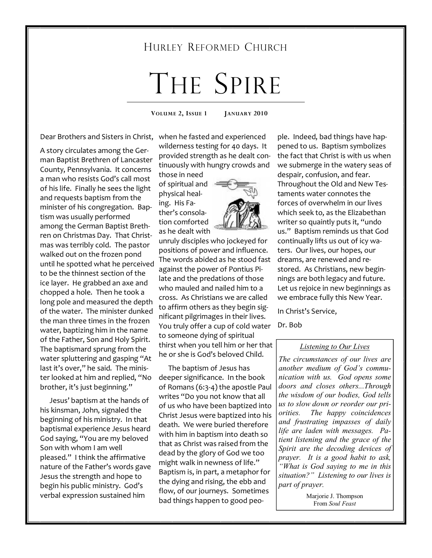# HURLEY REFORMED CHURCH

# THE SPIRE

**VOLUME 2, ISSUE 1 JANUARY 2010** 

A story circulates among the German Baptist Brethren of Lancaster County, Pennsylvania. It concerns a man who resists God's call most of his life. Finally he sees the light and requests baptism from the minister of his congregation. Baptism was usually performed among the German Baptist Brethren on Christmas Day. That Christmas was terribly cold. The pastor walked out on the frozen pond until he spotted what he perceived to be the thinnest section of the ice layer. He grabbed an axe and chopped a hole. Then he took a long pole and measured the depth of the water. The minister dunked the man three times in the frozen water, baptizing him in the name of the Father, Son and Holy Spirit. The baptismard sprung from the water spluttering and gasping "At last it's over," he said. The minister looked at him and replied, "No brother, it's just beginning."

 Jesus' baptism at the hands of his kinsman, John, signaled the beginning of his ministry. In that baptismal experience Jesus heard God saying, "You are my beloved Son with whom I am well pleased." I think the affirmative nature of the Father's words gave Jesus the strength and hope to begin his public ministry. God's verbal expression sustained him

Dear Brothers and Sisters in Christ, when he fasted and experienced wilderness testing for 40 days. It provided strength as he dealt continuously with hungry crowds and

those in need of spiritual and physical healing. His Father's consolation comforted as he dealt with

unruly disciples who jockeyed for positions of power and influence. The words abided as he stood fast against the power of Pontius Pilate and the predations of those who mauled and nailed him to a cross. As Christians we are called to affirm others as they begin significant pilgrimages in their lives. You truly offer a cup of cold water to someone dying of spiritual thirst when you tell him or her that he or she is God's beloved Child.

 The baptism of Jesus has deeper significance. In the book of Romans (6:3-4) the apostle Paul writes "Do you not know that all of us who have been baptized into Christ Jesus were baptized into his death. We were buried therefore with him in baptism into death so that as Christ was raised from the dead by the glory of God we too might walk in newness of life." Baptism is, in part, a metaphor for the dying and rising, the ebb and flow, of our journeys. Sometimes bad things happen to good peo-

ple. Indeed, bad things have happened to us. Baptism symbolizes the fact that Christ is with us when we submerge in the watery seas of despair, confusion, and fear. Throughout the Old and New Testaments water connotes the forces of overwhelm in our lives which seek to, as the Elizabethan writer so quaintly puts it, "undo us." Baptism reminds us that God continually lifts us out of icy waters. Our lives, our hopes, our dreams, are renewed and restored. As Christians, new beginnings are both legacy and future. Let us rejoice in new beginnings as we embrace fully this New Year.

In Christ's Service,

#### Dr. Bob

#### *Listening to Our Lives*

*The circumstances of our lives are another medium of God's communication with us. God opens some doors and closes others...Through the wisdom of our bodies, God tells us to slow down or reorder our priorities. The happy coincidences and frustrating impasses of daily life are laden with messages. Patient listening and the grace of the Spirit are the decoding devices of prayer. It is a good habit to ask, "What is God saying to me in this situation?" Listening to our lives is part of prayer.* 

> Marjorie J. Thompson From *Soul Feast*

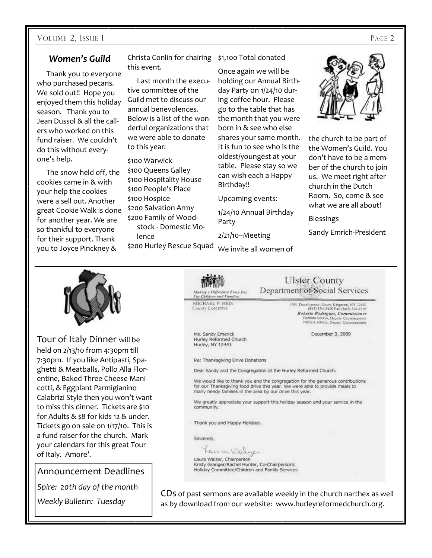#### *Women's Guild*

 Thank you to everyone who purchased pecans. We sold out!! Hope you enjoyed them this holiday season. Thank you to Jean Dussol & all the callers who worked on this fund raiser. We couldn't do this without everyone's help.

 The snow held off, the cookies came in & with your help the cookies were a sell out. Another great Cookie Walk is done for another year. We are so thankful to everyone for their support. Thank you to Joyce Pinckney &

Christa Conlin for chairing \$1,100 Total donated this event.

 Last month the executive committee of the Guild met to discuss our annual benevolences. Below is a list of the wonderful organizations that we were able to donate to this year:

\$100 Warwick \$100 Queens Galley \$100 Hospitality House \$100 People's Place \$100 Hospice \$200 Salvation Army \$200 Family of Woodstock - Domestic Violence \$200 Hurley Rescue Squad

Once again we will be holding our Annual Birthday Party on 1/24/10 during coffee hour. Please go to the table that has the month that you were born in & see who else shares your same month. It is fun to see who is the oldest/youngest at your table. Please stay so we can wish each a Happy Birthday!!

Upcoming events:

1/24/10 Annual Birthday Party

2/21/10--Meeting

We invite all women of

**Ulster County** Department of Social Services

1091 Development Court, Kingston, NY 12401<br>(845) 334-5400 Fax (845) 334-5199 Roberto Rodriguez, Commissioner<br>Barbara Sorkin, Deputy Commissioner<br>Patricia Jelseic, Deputy Commissioner

December 3, 2009

Re: Thanksgiving Drive Donations

Making a Difference Every Day For Children and Familie MICHAEL P HEIN

County Executive

Ms. Sandy Emerick

Hurley Reformed Church Hurley, NY 12443

Dear Sandy and the Congregation at the Hurley Reformed Church:

We would like to thank you and the congregation for the generous contributions for our Thanksgiving food drive this year. We were able to provide meals to many needy families in the area by our drive this year.

We greatly appreciate your support this holiday season and your service in the community.

Thank you and Happy Holidays.

Sincerely,

Laura Walne

Laura Walzer, Chairperson Kristy Granger/Rachel Hunter, Co-Chairpersons Holiday Committee/Children and Family Services

CDs of past sermons are available weekly in the church narthex as well as by download from our website: www.hurleyreformedchurch.org.

Tour of Italy Dinner will be held on 2/13/10 from 4:30pm till 7:30pm. If you like Antipasti, Spaghetti & Meatballs, Pollo Alla Florentine, Baked Three Cheese Manicotti, & Eggplant Parmigianino Calabrizi Style then you won't want to miss this dinner. Tickets are \$10 for Adults & \$8 for kids 12 & under. Tickets go on sale on 1/17/10. This is a fund raiser for the church. Mark your calendars for this great Tour of Italy. Amore'.

Announcement Deadlines

*Spire: 20th day of the month* 

*Weekly Bulletin: Tuesday*



the church to be part of the Women's Guild. You don't have to be a member of the church to join us. We meet right after church in the Dutch Room. So, come & see what we are all about!

Blessings

Sandy Emrich-President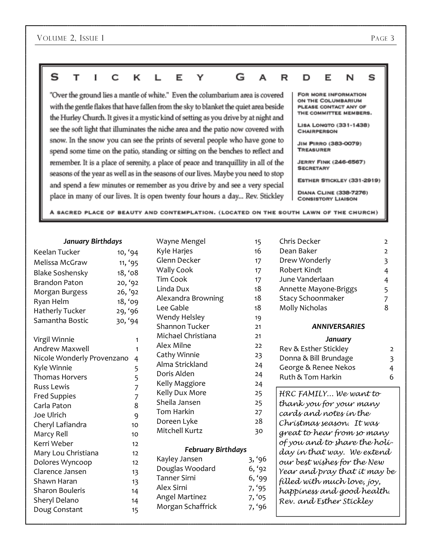#### s т c ĸ Y G A I L Е R D Е N S

"Over the ground lies a mantle of white." Even the columbarium area is covered with the gentle flakes that have fallen from the sky to blanket the quiet area beside the Hurley Church. It gives it a mystic kind of setting as you drive by at night and see the soft light that illuminates the niche area and the patio now covered with snow. In the snow you can see the prints of several people who have gone to spend some time on the patio, standing or sitting on the benches to reflect and remember. It is a place of serenity, a place of peace and tranquillity in all of the seasons of the year as well as in the seasons of our lives. Maybe you need to stop and spend a few minutes or remember as you drive by and see a very special place in many of our lives. It is open twenty four hours a day... Rev. Stickley

FOR MORE INFORMATION ON THE COLUMBARIUM PLEASE CONTACT ANY OF THE COMMITTEE MEMBERS.

LISA LONGTO (331-1438) **CHAIRPERSON** 

JIM PIRRO (383-0079) TREASURER

**JERRY FINK (246-6567) SECRETARY** 

ESTHER STICKLEY (331-2919)

DIANA CLINE (338-7276) **CONSISTORY LIAISON** 

A SACRED PLACE OF BEAUTY AND CONTEMPLATION. (LOCATED ON THE SOUTH LAWN OF THE CHURCH)

#### *January Birthdays*

| Keelan Tucker              | 10, '94     |
|----------------------------|-------------|
| Melissa McGraw             | 11, '95     |
| <b>Blake Soshensky</b>     | 18, '08     |
| <b>Brandon Paton</b>       | 20, '92     |
| Morgan Burgess             | 26, '92     |
| Ryan Helm                  | 18, '09     |
| <b>Hatherly Tucker</b>     | 29, '96     |
| Samantha Bostic            | 30, '94     |
| Virgil Winnie              | 1           |
| <b>Andrew Maxwell</b>      | 1           |
| Nicole Wonderly Provenzano | 4           |
| Kyle Winnie                | 5           |
| <b>Thomas Horvers</b>      |             |
| Russ Lewis                 | 5<br>7<br>7 |
| <b>Fred Suppies</b>        |             |
| Carla Paton                | 8           |
| Joe Ulrich                 | 9           |
| Cheryl Lafiandra           | 10          |
| Marcy Rell                 | 10          |
| Kerri Weber                | 12          |
| Mary Lou Christiana        | 12          |
| Dolores Wyncoop            | 12          |
| Clarence Jansen            | 13          |
| Shawn Haran                | 13          |
| <b>Sharon Bouleris</b>     | 14          |
| Sheryl Delano              | 14          |
| Doug Constant              | 15          |

| Wayne Mengel              | 15     |
|---------------------------|--------|
| Kyle Harjes               | 16     |
| Glenn Decker              | 17     |
| <b>Wally Cook</b>         | 17     |
| Tim Cook                  | 17     |
| Linda Dux                 | 18     |
| Alexandra Browning        | 18     |
| Lee Gable                 | 18     |
| Wendy Helsley             | 19     |
| Shannon Tucker            | 21     |
| Michael Christiana        | 21     |
| Alex Milne                | 22     |
| Cathy Winnie              | 23     |
| Alma Strickland           | 24     |
| Doris Alden               | 24     |
| Kelly Maggiore            | 24     |
| Kelly Dux More            | 25     |
| Sheila Jansen             | 25     |
| Tom Harkin                | 27     |
| Doreen Lyke               | 28     |
| Mitchell Kurtz            | 30     |
| <b>February Birthdays</b> |        |
| Kayley Jansen             | 3, '96 |
| Douglas Woodard           | 6, '9  |
| Tanner Sirni              | 6, '9! |
| Alex Sirni                | 7.95   |

Angel Martinez 7, '05 Morgan Schaffrick 7, '96

3, '96  $6, '92$  $6, '99$  $7, '95$ 

| Chris Decker             |               |
|--------------------------|---------------|
| Dean Baker               | $\mathcal{P}$ |
| Drew Wonderly            | 3             |
| Robert Kindt             |               |
| June Vanderlaan          | 4             |
| Annette Mayone-Briggs    | 5             |
| <b>Stacy Schoonmaker</b> |               |
| Molly Nicholas           | R             |
|                          |               |

#### *ANNIVERSARIES*

#### *January*

| $\mathcal{L}$ |
|---------------|
| -3            |
| 4             |
| h             |
|               |

HRC FAMILY... We want to thank you for your many cards and notes in the Christmas season. It was great to hear from so many of you and to share the holiday in that way. We extend our best wishes for the New Year and pray that it may be filled with much love, joy, happiness and good health. Rev. and Esther Stickley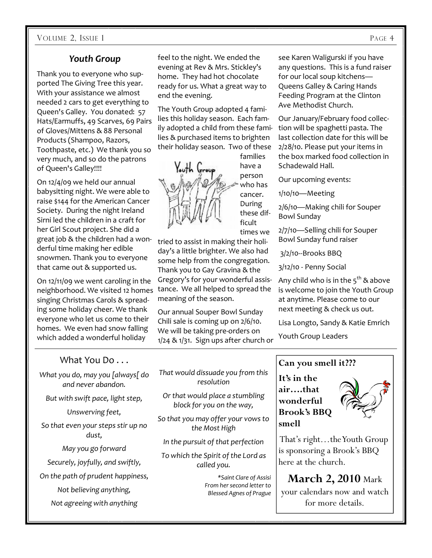# *Youth Group*

Thank you to everyone who supported The Giving Tree this year. With your assistance we almost needed 2 cars to get everything to Queen's Galley. You donated: 57 Hats/Earmuffs, 49 Scarves, 69 Pairs of Gloves/Mittens & 88 Personal Products (Shampoo, Razors, Toothpaste, etc.) We thank you so very much, and so do the patrons of Queen's Galley!!!!

On 12/4/09 we held our annual babysitting night. We were able to raise \$144 for the American Cancer Society. During the night Ireland Sirni led the children in a craft for her Girl Scout project. She did a great job & the children had a wonderful time making her edible snowmen. Thank you to everyone that came out & supported us.

On 12/11/09 we went caroling in the neighborhood. We visited 12 homes singing Christmas Carols & spreading some holiday cheer. We thank everyone who let us come to their homes. We even had snow falling which added a wonderful holiday

feel to the night. We ended the evening at Rev & Mrs. Stickley's home. They had hot chocolate ready for us. What a great way to end the evening.

The Youth Group adopted 4 families this holiday season. Each family adopted a child from these families & purchased items to brighten their holiday season. Two of these



have a person who has cancer. During these difficult times we

tried to assist in making their holiday's a little brighter. We also had some help from the congregation. Thank you to Gay Gravina & the Gregory's for your wonderful assistance. We all helped to spread the meaning of the season.

Our annual Souper Bowl Sunday Chili sale is coming up on 2/6/10. We will be taking pre-orders on 1/24 & 1/31. Sign ups after church or see Karen Waligurski if you have any questions. This is a fund raiser for our local soup kitchens— Queens Galley & Caring Hands Feeding Program at the Clinton Ave Methodist Church.

Our January/February food collection will be spaghetti pasta. The last collection date for this will be 2/28/10. Please put your items in the box marked food collection in Schadewald Hall.

Our upcoming events:

1/10/10—Meeting

2/6/10—Making chili for Souper Bowl Sunday

2/7/10—Selling chili for Souper Bowl Sunday fund raiser

3/2/10--Brooks BBQ

3/12/10 - Penny Social

Any child who is in the  $5^{th}$  & above is welcome to join the Youth Group at anytime. Please come to our next meeting & check us out.

Lisa Longto, Sandy & Katie Emrich

Youth Group Leaders

## What You Do . . .

*What you do, may you [always[ do and never abandon.* 

*But with swift pace, light step,* 

*Unswerving feet,* 

*So that even your steps stir up no dust,* 

*May you go forward* 

*Securely, joyfully, and swiftly,* 

*On the path of prudent happiness,* 

*Not believing anything,* 

*Not agreeing with anything* 

*That would dissuade you from this resolution* 

*Or that would place a stumbling block for you on the way,* 

*So that you may offer your vows to the Most High* 

*In the pursuit of that perfection* 

*To which the Spirit of the Lord as called you.* 

> *\*Saint Clare of Assisi From her second letter to Blessed Agnes of Prague*

# **Can you smell it???**

**It's in the air….that wonderful Brook's BBQ smell** 



 That's right…the Youth Group is sponsoring a Brook's BBQ here at the church.

**March 2, 2010** Mark your calendars now and watch for more details.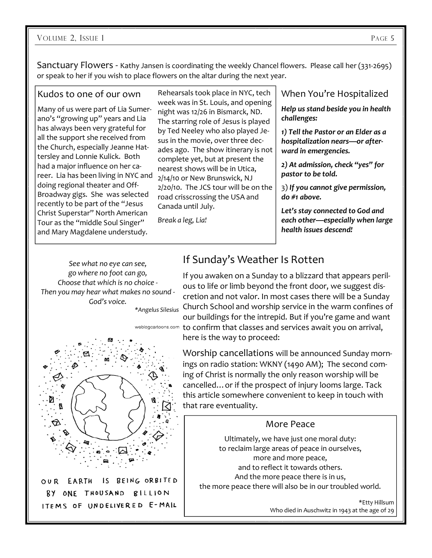Sanctuary Flowers - Kathy Jansen is coordinating the weekly Chancel flowers. Please call her (331-2695) or speak to her if you wish to place flowers on the altar during the next year.

#### Kudos to one of our own

Many of us were part of Lia Sumerano's "growing up" years and Lia has always been very grateful for all the support she received from the Church, especially Jeanne Hattersley and Lonnie Kulick. Both had a major influence on her career. Lia has been living in NYC and doing regional theater and Off-Broadway gigs. She was selected recently to be part of the "Jesus Christ Superstar" North American Tour as the "middle Soul Singer" and Mary Magdalene understudy.

Rehearsals took place in NYC, tech week was in St. Louis, and opening night was 12/26 in Bismarck, ND. The starring role of Jesus is played by Ted Neeley who also played Jesus in the movie, over three decades ago. The show itinerary is not complete yet, but at present the nearest shows will be in Utica, 2/14/10 or New Brunswick, NJ 2/20/10. The JCS tour will be on the road crisscrossing the USA and Canada until July.

*Break a leg, Lia!* 

# When You're Hospitalized

*Help us stand beside you in health challenges:* 

*1) Tell the Pastor or an Elder as a hospitalization nears—or afterward in emergencies.* 

*2) At admission, check "yes" for pastor to be told.* 

3) *If you cannot give permission, do #1 above.* 

*Let's stay connected to God and each other—especially when large health issues descend!*

*See what no eye can see, go where no foot can go, Choose that which is no choice - Then you may hear what makes no sound - God's voice.* 



BY ONE THOUSAND BILLION ITEMS OF UNDELIVERED E-MAIL

# If Sunday's Weather Is Rotten

If you awaken on a Sunday to a blizzard that appears perilous to life or limb beyond the front door, we suggest discretion and not valor. In most cases there will be a Sunday Church School and worship service in the warm confines of *\*Angelus Silesius* our buildings for the intrepid. But if you're game and want weblogcartoons.com to confirm that classes and services await you on arrival, here is the way to proceed:

> Worship cancellations will be announced Sunday mornings on radio station: WKNY (1490 AM); The second coming of Christ is normally the only reason worship will be cancelled…or if the prospect of injury looms large. Tack this article somewhere convenient to keep in touch with that rare eventuality.

## More Peace

Ultimately, we have just one moral duty: to reclaim large areas of peace in ourselves, more and more peace, and to reflect it towards others. And the more peace there is in us, the more peace there will also be in our troubled world.

> \*Etty Hillsum Who died in Auschwitz in 1943 at the age of 29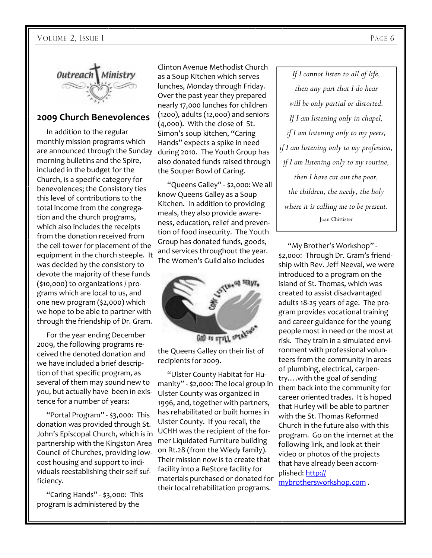

#### **2009 Church Benevolences**

 In addition to the regular monthly mission programs which are announced through the Sunday during 2010. The Youth Group has morning bulletins and the Spire, included in the budget for the Church, is a specific category for benevolences; the Consistory ties this level of contributions to the total income from the congregation and the church programs, which also includes the receipts from the donation received from the cell tower for placement of the equipment in the church steeple. It was decided by the consistory to devote the majority of these funds (\$10,000) to organizations / programs which are local to us, and one new program (\$2,000) which we hope to be able to partner with through the friendship of Dr. Gram.

 For the year ending December 2009, the following programs received the denoted donation and we have included a brief description of that specific program, as several of them may sound new to you, but actually have been in existence for a number of years:

 "Portal Program" - \$3,000: This donation was provided through St. John's Episcopal Church, which is in partnership with the Kingston Area Council of Churches, providing lowcost housing and support to individuals reestablishing their self sufficiency.

 "Caring Hands" - \$3,000: This program is administered by the

Clinton Avenue Methodist Church as a Soup Kitchen which serves lunches, Monday through Friday. Over the past year they prepared nearly 17,000 lunches for children (1200), adults (12,000) and seniors (4,000). With the close of St. Simon's soup kitchen, "Caring Hands" expects a spike in need also donated funds raised through the Souper Bowl of Caring.

 "Queens Galley" - \$2,000: We all know Queens Galley as a Soup Kitchen. In addition to providing meals, they also provide awareness, education, relief and prevention of food insecurity. The Youth Group has donated funds, goods, and services throughout the year. The Women's Guild also includes



the Queens Galley on their list of recipients for 2009.

 "Ulster County Habitat for Humanity" - \$2,000: The local group in Ulster County was organized in 1996, and, together with partners, has rehabilitated or built homes in Ulster County. If you recall, the UCHH was the recipient of the former Liquidated Furniture building on Rt.28 (from the Wiedy family). Their mission now is to create that facility into a ReStore facility for materials purchased or donated for their local rehabilitation programs.

*If I cannot listen to all of life, then any part that I do hear will be only partial or distorted. If I am listening only in chapel, if I am listening only to my peers, if I am listening only to my profession, if I am listening only to my routine, then I have cut out the poor, the children, the needy, the holy where it is calling me to be present.*  Joan Chittister

 "My Brother's Workshop" - \$2,000: Through Dr. Gram's friendship with Rev. Jeff Neeval, we were introduced to a program on the island of St. Thomas, which was created to assist disadvantaged adults 18-25 years of age. The program provides vocational training and career guidance for the young people most in need or the most at risk. They train in a simulated environment with professional volunteers from the community in areas of plumbing, electrical, carpentry….with the goal of sending them back into the community for career oriented trades. It is hoped that Hurley will be able to partner with the St. Thomas Reformed Church in the future also with this program. Go on the internet at the following link, and look at their video or photos of the projects that have already been accomplished: http://

mybrothersworkshop.com .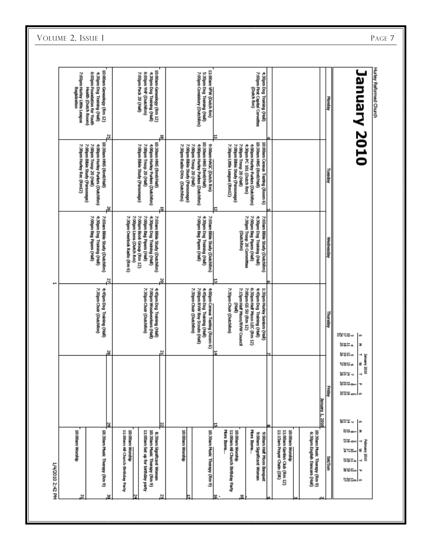| 10:00am Genealogy (Rm 12)<br>7:00pm Hurley Little League<br>6:00pm Foundation for Youth<br>4:30pm Dog Training (Hall)<br><b>Health (Dutch Room)</b><br>ů,<br>10:30am HMS (Rm8/Hall)<br>7:00pm Bible Study (Parsonage)<br>7:00pm Troop 20 (Hall)<br>7:30pm Hurley Roc (RmL2)<br>4:00pm Hurley Puriers (DutchRm) | 10:00am Genealogy (Rm 12)<br>6:00pm YHF (DutchRm)<br>7:00pm Pack 20 (Hall)<br>4:30pm Dog Training (Hali)<br>뮮<br>10:30am HMS (Rm8/Mall)<br>7:00pm Bible Study (Parsonage)<br>7:00pm Troop 20 (Hall)<br>4:00pm Hurkey Purkers (DutchRm) | 11:00am VFW (Dutch Rm)<br>7:00pm Consistory (DutchRm)<br>S:30pm Dog Training (Hall)<br>Uncil/Grady State (Rand/Hall)<br>9:00am HAGC (Dutch Rm)<br>7:00pm Bible Study (Parsonage)<br>7:00pm Troop 20 (Hall)<br>7:30pm Radio-DXrs (DutchRm)<br>4:00pm Hurley Purlers (DutchRm) | 7:00pm First Capital Corvettes<br>4:30pm Dog Training (Hall)<br>(Dutch Ran)<br>(IIsH/Gru3) SMH madE:01<br>10:00am Census Testing (Room 6)<br>7:30pm Little League (Rm12)<br>7:00pm Bible Study (Parsonage)<br>4:30pm PC 101 (Dutch Rm)<br>7:00pm Troop 20 (Hall)<br>4:00pm Hurkey Purkers (DutchRm) |                                                                                                                                               | Nepusy<br>Tuesday                             | Hurley Reformed Church<br><b>January 2010</b>                                                                        |
|----------------------------------------------------------------------------------------------------------------------------------------------------------------------------------------------------------------------------------------------------------------------------------------------------------------|----------------------------------------------------------------------------------------------------------------------------------------------------------------------------------------------------------------------------------------|------------------------------------------------------------------------------------------------------------------------------------------------------------------------------------------------------------------------------------------------------------------------------|-----------------------------------------------------------------------------------------------------------------------------------------------------------------------------------------------------------------------------------------------------------------------------------------------------|-----------------------------------------------------------------------------------------------------------------------------------------------|-----------------------------------------------|----------------------------------------------------------------------------------------------------------------------|
| ы<br>7:00pm Bag Pipers (Hall)<br>7:00am Bible Study (DutchRm)<br>4:30pm Dog Training (Hall)                                                                                                                                                                                                                    | 5<br>7:00pm Book Group (Rm 12)<br>7:30pm Overlook Radio (Rm 6)<br>7:00pm Lions (Dutch Rm)<br>7:00pm Bag Pipers (Hall)<br>4:30pm Dog Training (Hall)<br>7:00am Bible Study (DutchRm)                                                    | 7:00am Bible Study (DutchRm)<br>7:00pm Bag Pipers (Hall)<br>4:30pm Dog Training (Hall)                                                                                                                                                                                       | 7:30pm Troop 20 Connrittee<br>7:00pm Bag Pipers (Hall)<br>4:30pm Dog Training (Hall)<br>7:00am Bible Study (DutchRm)<br>(DutchRm)                                                                                                                                                                   |                                                                                                                                               | Wednesday                                     |                                                                                                                      |
| N<br>7:30pm Choir (DutchRm)<br>4:45pm Dog Training (Hall)<br>넒                                                                                                                                                                                                                                                 | ă<br>7:00pm Woodworkers (Hall)<br>4:45pm Dog Training (Hall)<br>7:30pm Choir (DutchRm)                                                                                                                                                 | 7:30pm Choir (DutchRm)<br>7:00pm RVW Boy Scouts (Hall)<br>4:45pm Dog Training (Hall)<br>4:00pm Census Testing (Room 6)                                                                                                                                                       | 7:30pm Choir (DutchRm)<br>7:15pm Half Moon/RVW Council<br>6:30pm Half Moon LEC (Rm 12)<br>7:00pm GS 5U (Rm 12)<br>4:45pm Dog Training (Hall)<br>1:30pm Hurley Seniors (Hall)<br>Ê                                                                                                                   |                                                                                                                                               | Vepsuny<br><b>监</b> ដ법봉<br>해보는<br>鼠鼠科の        | w<br>z                                                                                                               |
| у                                                                                                                                                                                                                                                                                                              |                                                                                                                                                                                                                                        |                                                                                                                                                                                                                                                                              |                                                                                                                                                                                                                                                                                                     | January 1, 2010                                                                                                                               | ೮೫ರೂ<br>않았는지<br>UN¤∝<br><b>Habir</b><br>않았음 시 | ope Anematy<br>É<br>5<br>۰<br>T<br>방앉은 아<br>I w                                                                      |
| 10:00am Worship<br>10:30am Music Therapy (Rm 9)                                                                                                                                                                                                                                                                | 11:00am All Church Birthday Party<br>11:00am Set up for birthday party<br>10:30am Music Therapy (Rm 9)<br>10:00am Worship<br>8:30am Significant Woman                                                                                  | 10:00am Worship<br>10:30am Music Therapy (Rm 9)                                                                                                                                                                                                                              | More Items<br>More Ibens<br>11:00am All Church Birthday Party<br>10:00am Worship<br>9:00am Significant Woman<br>9:00am Half Moon Banquet                                                                                                                                                            | 10:30am Music Therapy (Rm 9)<br>11:15am Prayer Chain (DR)<br>11:00am Garden Club (Ran 12)<br>10:00am Worship<br>6:30pm English Dancers (Hall) | ung/ass                                       | Ntime<br>z<br>않았etr<br>٠<br>픏<br>onat Ave<br>乏<br>%tsw<br>ten.<br>٠<br><b>MERu</b><br>÷<br>titita.<br>$\overline{a}$ |

VOLUME 2, ISSUE 1 PAGE 7